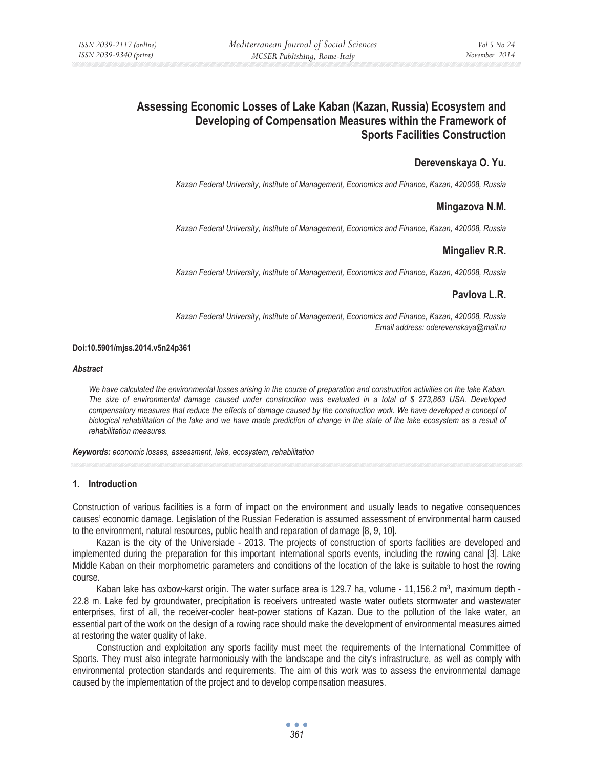# **Assessing Economic Losses of Lake Kaban (Kazan, Russia) Ecosystem and Developing of Compensation Measures within the Framework of Sports Facilities Construction**

## **Derevenskaya O. Yu.**

*Kazan Federal University, Institute of Management, Economics and Finance, Kazan, 420008, Russia* 

## **Mingazova N.M.**

*Kazan Federal University, Institute of Management, Economics and Finance, Kazan, 420008, Russia* 

## **Mingaliev R.R.**

*Kazan Federal University, Institute of Management, Economics and Finance, Kazan, 420008, Russia* 

## **Pavlova L.R.**

*Kazan Federal University, Institute of Management, Economics and Finance, Kazan, 420008, Russia Email address: oderevenskaya@mail.ru* 

#### **Doi:10.5901/mjss.2014.v5n24p361**

#### *Abstract*

*We have calculated the environmental losses arising in the course of preparation and construction activities on the lake Kaban. The size of environmental damage caused under construction was evaluated in a total of \$ 273,863 USA. Developed*  compensatory measures that reduce the effects of damage caused by the construction work. We have developed a concept of *biological rehabilitation of the lake and we have made prediction of change in the state of the lake ecosystem as a result of rehabilitation measures.* 

*Keywords: economic losses, assessment, lake, ecosystem, rehabilitation*

### **1. Introduction**

Construction of various facilities is a form of impact on the environment and usually leads to negative consequences causes' economic damage. Legislation of the Russian Federation is assumed assessment of environmental harm caused to the environment, natural resources, public health and reparation of damage [8, 9, 10].

Kazan is the city of the Universiade - 2013. The projects of construction of sports facilities are developed and implemented during the preparation for this important international sports events, including the rowing canal [3]. Lake Middle Kaban on their morphometric parameters and conditions of the location of the lake is suitable to host the rowing course.

Kaban lake has oxbow-karst origin. The water surface area is 129.7 ha, volume - 11,156.2 m<sup>3</sup>, maximum depth -22.8 m. Lake fed by groundwater, precipitation is receivers untreated waste water outlets stormwater and wastewater enterprises, first of all, the receiver-cooler heat-power stations of Kazan. Due to the pollution of the lake water, an essential part of the work on the design of a rowing race should make the development of environmental measures aimed at restoring the water quality of lake.

Construction and exploitation any sports facility must meet the requirements of the International Committee of Sports. They must also integrate harmoniously with the landscape and the city's infrastructure, as well as comply with environmental protection standards and requirements. The aim of this work was to assess the environmental damage caused by the implementation of the project and to develop compensation measures.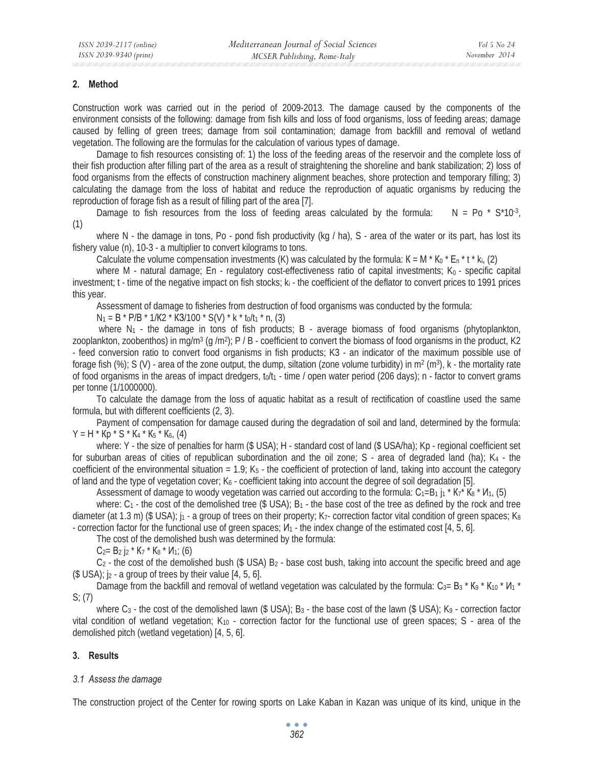### **2. Method**

Construction work was carried out in the period of 2009-2013. The damage caused by the components of the environment consists of the following: damage from fish kills and loss of food organisms, loss of feeding areas; damage caused by felling of green trees; damage from soil contamination; damage from backfill and removal of wetland vegetation. The following are the formulas for the calculation of various types of damage.

Damage to fish resources consisting of: 1) the loss of the feeding areas of the reservoir and the complete loss of their fish production after filling part of the area as a result of straightening the shoreline and bank stabilization; 2) loss of food organisms from the effects of construction machinery alignment beaches, shore protection and temporary filling; 3) calculating the damage from the loss of habitat and reduce the reproduction of aquatic organisms by reducing the reproduction of forage fish as a result of filling part of the area [7].

Damage to fish resources from the loss of feeding areas calculated by the formula:  $N = Po * S*10<sup>-3</sup>$ , (1)

where N - the damage in tons, Po - pond fish productivity (kg / ha), S - area of the water or its part, has lost its fishery value (n), 10-3 - a multiplier to convert kilograms to tons.

Calculate the volume compensation investments (K) was calculated by the formula:  $K = M * K_0 * E_n * t * k_i$ , (2)

where M - natural damage; En - regulatory cost-effectiveness ratio of capital investments; K<sub>0</sub> - specific capital investment;  $t$  - time of the negative impact on fish stocks;  $k_i$  - the coefficient of the deflator to convert prices to 1991 prices this year.

Assessment of damage to fisheries from destruction of food organisms was conducted by the formula:

 $N_1 = B * P/B * 1/K2 * K3/100 * S(V) * k * t_0/t_1 * n$ , (3)

where  $N_1$  - the damage in tons of fish products; B - average biomass of food organisms (phytoplankton, zooplankton, zoobenthos) in mg/m<sup>3</sup> (g /m<sup>2</sup>); P / B - coefficient to convert the biomass of food organisms in the product, K2 - feed conversion ratio to convert food organisms in fish products; K3 - an indicator of the maximum possible use of forage fish (%); S (V) - area of the zone output, the dump, siltation (zone volume turbidity) in  $m^2$  (m<sup>3</sup>), k - the mortality rate of food organisms in the areas of impact dredgers,  $t_0/t_1$  - time / open water period (206 days); n - factor to convert grams per tonne (1/1000000).

To calculate the damage from the loss of aquatic habitat as a result of rectification of coastline used the same formula, but with different coefficients (2, 3).

Payment of compensation for damage caused during the degradation of soil and land, determined by the formula:  $Y = H * Kp * S * K4 * K5 * K6, (4)$ 

where: Y - the size of penalties for harm (\$ USA); H - standard cost of land (\$ USA/ha); Kp - regional coefficient set for suburban areas of cities of republican subordination and the oil zone; S - area of degraded land (ha); K4 - the coefficient of the environmental situation =  $1.9$ ; K<sub>5</sub> - the coefficient of protection of land, taking into account the category of land and the type of vegetation cover; K6 - coefficient taking into account the degree of soil degradation [5].

Assessment of damage to woody vegetation was carried out according to the formula:  $C_1=B_1$  j<sub>1</sub>  $K_7$ <sup>\*</sup>  $K_8$   $*$   $M_1$ , (5)

where:  $C_1$  - the cost of the demolished tree (\$ USA);  $B_1$  - the base cost of the tree as defined by the rock and tree diameter (at 1.3 m) (\$ USA);  $j_1$  - a group of trees on their property; K<sub>7</sub>- correction factor vital condition of green spaces; K<sub>8</sub> - correction factor for the functional use of green spaces;  $V_1$  - the index change of the estimated cost [4, 5, 6].

The cost of the demolished bush was determined by the formula:

 $C_2 = B_2$  j<sub>2</sub>  $*$  K<sub>7</sub>  $*$  K<sub>8</sub>  $*$   $M_1$ ; (6)

 $C_2$  - the cost of the demolished bush (\$ USA)  $B_2$  - base cost bush, taking into account the specific breed and age  $($USA); j<sub>2</sub> - a group of trees by their value [4, 5, 6].$ 

Damage from the backfill and removal of wetland vegetation was calculated by the formula:  $C_{3} = B_3 * K_9 * K_{10} * M_1 *$ S; (7)

where  $C_3$  - the cost of the demolished lawn (\$ USA);  $B_3$  - the base cost of the lawn (\$ USA); K<sub>9</sub> - correction factor vital condition of wetland vegetation;  $K_{10}$  - correction factor for the functional use of green spaces; S - area of the demolished pitch (wetland vegetation) [4, 5, 6].

### **3. Results**

### *3.1 Assess the damage*

The construction project of the Center for rowing sports on Lake Kaban in Kazan was unique of its kind, unique in the

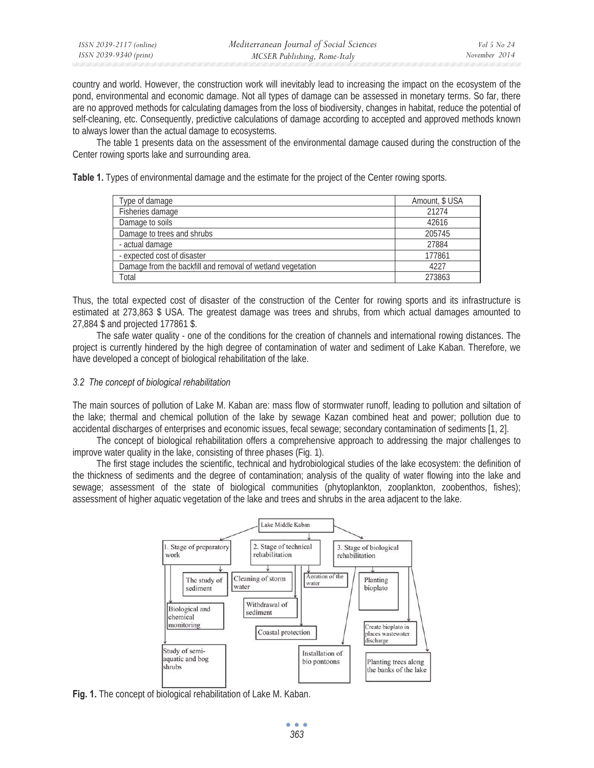country and world. However, the construction work will inevitably lead to increasing the impact on the ecosystem of the pond, environmental and economic damage. Not all types of damage can be assessed in monetary terms. So far, there are no approved methods for calculating damages from the loss of biodiversity, changes in habitat, reduce the potential of self-cleaning, etc. Consequently, predictive calculations of damage according to accepted and approved methods known to always lower than the actual damage to ecosystems.

The table 1 presents data on the assessment of the environmental damage caused during the construction of the Center rowing sports lake and surrounding area.

**Table 1.** Types of environmental damage and the estimate for the project of the Center rowing sports.

| Type of damage                                             | Amount, \$ USA |
|------------------------------------------------------------|----------------|
| Fisheries damage                                           | 21274          |
| Damage to soils                                            | 42616          |
| Damage to trees and shrubs                                 | 205745         |
| - actual damage                                            | 27884          |
| - expected cost of disaster                                | 177861         |
| Damage from the backfill and removal of wetland vegetation | 4227           |
| Total                                                      | 273863         |

Thus, the total expected cost of disaster of the construction of the Center for rowing sports and its infrastructure is estimated at 273,863 \$ USA. The greatest damage was trees and shrubs, from which actual damages amounted to 27,884 \$ and projected 177861 \$.

The safe water quality - one of the conditions for the creation of channels and international rowing distances. The project is currently hindered by the high degree of contamination of water and sediment of Lake Kaban. Therefore, we have developed a concept of biological rehabilitation of the lake.

#### *3.2 The concept of biological rehabilitation*

The main sources of pollution of Lake M. Kaban are: mass flow of stormwater runoff, leading to pollution and siltation of the lake; thermal and chemical pollution of the lake by sewage Kazan combined heat and power; pollution due to accidental discharges of enterprises and economic issues, fecal sewage; secondary contamination of sediments [1, 2].

The concept of biological rehabilitation offers a comprehensive approach to addressing the major challenges to improve water quality in the lake, consisting of three phases (Fig. 1).

The first stage includes the scientific, technical and hydrobiological studies of the lake ecosystem: the definition of the thickness of sediments and the degree of contamination; analysis of the quality of water flowing into the lake and sewage; assessment of the state of biological communities (phytoplankton, zooplankton, zoobenthos, fishes); assessment of higher aquatic vegetation of the lake and trees and shrubs in the area adjacent to the lake.



**Fig. 1.** The concept of biological rehabilitation of Lake M. Kaban.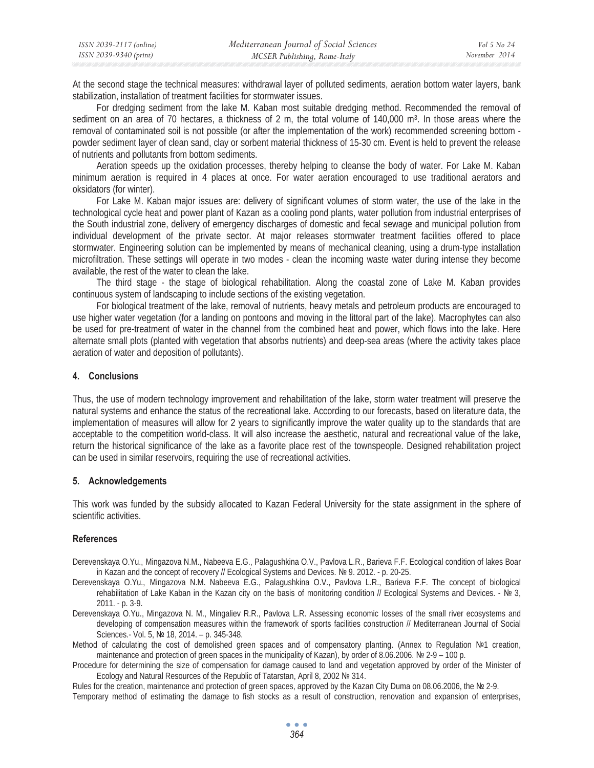| ISSN 2039-2117 (online) | Mediterranean Journal of Social Sciences | Vol 5 No 24   |
|-------------------------|------------------------------------------|---------------|
| ISSN 2039-9340 (print)  | MCSER Publishing, Rome-Italy             | November 2014 |

At the second stage the technical measures: withdrawal layer of polluted sediments, aeration bottom water layers, bank stabilization, installation of treatment facilities for stormwater issues.

For dredging sediment from the lake M. Kaban most suitable dredging method. Recommended the removal of sediment on an area of 70 hectares, a thickness of 2 m, the total volume of 140,000 m<sup>3</sup>. In those areas where the removal of contaminated soil is not possible (or after the implementation of the work) recommended screening bottom powder sediment layer of clean sand, clay or sorbent material thickness of 15-30 cm. Event is held to prevent the release of nutrients and pollutants from bottom sediments.

Aeration speeds up the oxidation processes, thereby helping to cleanse the body of water. For Lake M. Kaban minimum aeration is required in 4 places at once. For water aeration encouraged to use traditional aerators and oksidators (for winter).

For Lake M. Kaban major issues are: delivery of significant volumes of storm water, the use of the lake in the technological cycle heat and power plant of Kazan as a cooling pond plants, water pollution from industrial enterprises of the South industrial zone, delivery of emergency discharges of domestic and fecal sewage and municipal pollution from individual development of the private sector. At major releases stormwater treatment facilities offered to place stormwater. Engineering solution can be implemented by means of mechanical cleaning, using a drum-type installation microfiltration. These settings will operate in two modes - clean the incoming waste water during intense they become available, the rest of the water to clean the lake.

The third stage - the stage of biological rehabilitation. Along the coastal zone of Lake M. Kaban provides continuous system of landscaping to include sections of the existing vegetation.

For biological treatment of the lake, removal of nutrients, heavy metals and petroleum products are encouraged to use higher water vegetation (for a landing on pontoons and moving in the littoral part of the lake). Macrophytes can also be used for pre-treatment of water in the channel from the combined heat and power, which flows into the lake. Here alternate small plots (planted with vegetation that absorbs nutrients) and deep-sea areas (where the activity takes place aeration of water and deposition of pollutants).

#### **4. Conclusions**

Thus, the use of modern technology improvement and rehabilitation of the lake, storm water treatment will preserve the natural systems and enhance the status of the recreational lake. According to our forecasts, based on literature data, the implementation of measures will allow for 2 years to significantly improve the water quality up to the standards that are acceptable to the competition world-class. It will also increase the aesthetic, natural and recreational value of the lake, return the historical significance of the lake as a favorite place rest of the townspeople. Designed rehabilitation project can be used in similar reservoirs, requiring the use of recreational activities.

### **5. Acknowledgements**

This work was funded by the subsidy allocated to Kazan Federal University for the state assignment in the sphere of scientific activities.

#### **References**

- Derevenskaya O.Yu., Mingazova N.M., Nabeeva E.G., Palagushkina O.V., Pavlova L.R., Barieva F.F. Ecological condition of lakes Boar in Kazan and the concept of recovery // Ecological Systems and Devices.  $Ne$  9. 2012. - p. 20-25.
- Derevenskaya O.Yu., Mingazova N.M. Nabeeva E.G., Palagushkina O.V., Pavlova L.R., Barieva F.F. The concept of biological rehabilitation of Lake Kaban in the Kazan city on the basis of monitoring condition // Ecological Systems and Devices. -  $N_e$  3, 2011. - p. 3-9.
- Derevenskaya O.Yu., Mingazova N. M., Mingaliev R.R., Pavlova L.R. Assessing economic losses of the small river ecosystems and developing of compensation measures within the framework of sports facilities construction // Mediterranean Journal of Social Sciences.- Vol. 5, № 18, 2014. – p. 345-348.
- Method of calculating the cost of demolished green spaces and of compensatory planting. (Annex to Regulation  $Ne1$  creation, maintenance and protection of green spaces in the municipality of Kazan), by order of 8.06.2006.  $\mathbb{N}^2$  2-9 – 100 p.

Procedure for determining the size of compensation for damage caused to land and vegetation approved by order of the Minister of Ecology and Natural Resources of the Republic of Tatarstan, April 8, 2002 № 314.

Rules for the creation, maintenance and protection of green spaces, approved by the Kazan City Duma on 08.06.2006, the № 2-9. Temporary method of estimating the damage to fish stocks as a result of construction, renovation and expansion of enterprises,